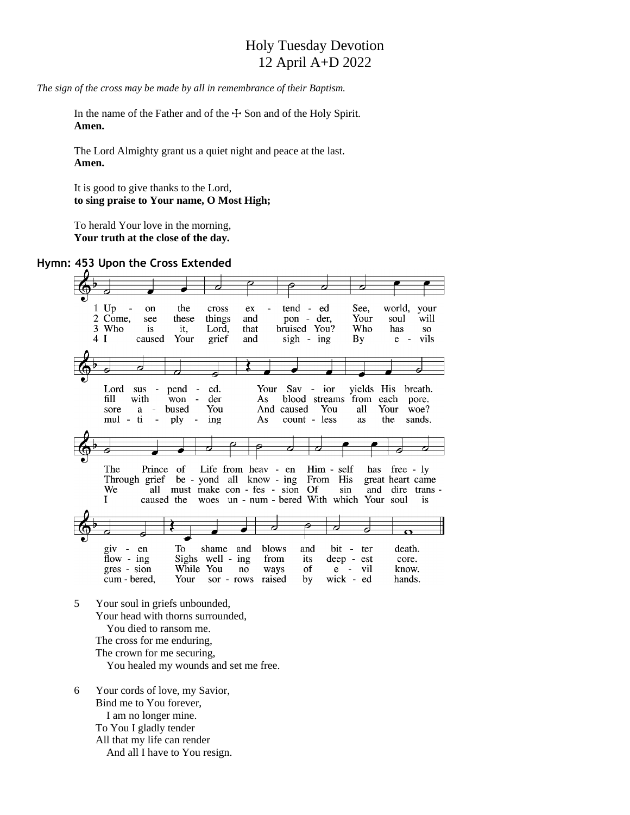# Holy Tuesday Devotion 12 April A+D 2022

*The sign of the cross may be made by all in remembrance of their Baptism.*

In the name of the Father and of the  $\pm$  Son and of the Holy Spirit. **Amen.**

The Lord Almighty grant us a quiet night and peace at the last. **Amen.**

It is good to give thanks to the Lord, **to sing praise to Your name, O Most High;**

To herald Your love in the morning, **Your truth at the close of the day.**

#### **Hymn: 453 Upon the Cross Extended**



Your head with thorns surrounded, You died to ransom me. The cross for me enduring, The crown for me securing,

You healed my wounds and set me free.

6 Your cords of love, my Savior, Bind me to You forever, I am no longer mine. To You I gladly tender All that my life can render And all I have to You resign.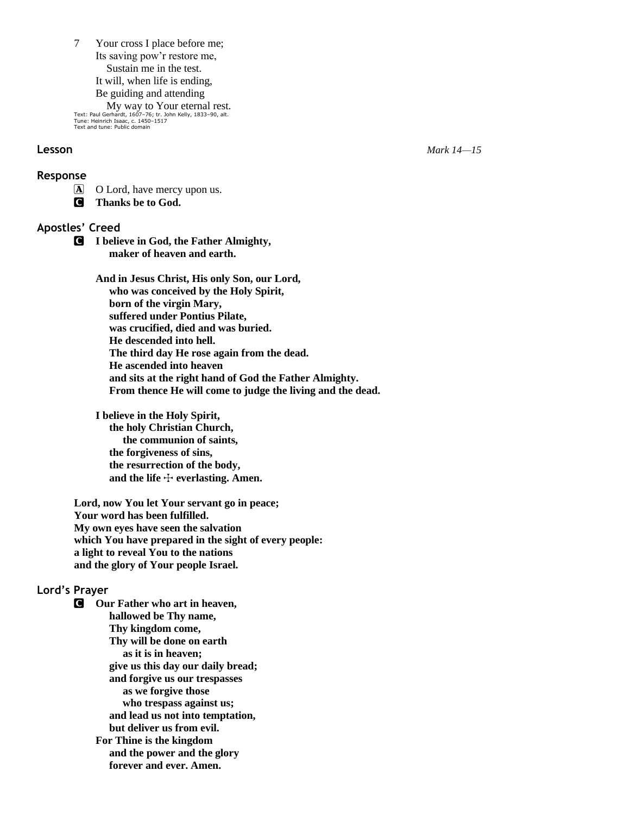7 Your cross I place before me; Its saving pow'r restore me, Sustain me in the test. It will, when life is ending, Be guiding and attending

 My way to Your eternal rest. Text: Paul Gerhardt, 1607–76; tr. John Kelly, 1833–90, alt. Tune: Heinrich Isaac, c. 1450–1517 Text and tune: Public domain

**Lesson** *Mark 14—15*

#### **Response**

A O Lord, have mercy upon us.

C **Thanks be to God.**

## **Apostles' Creed**

C **I believe in God, the Father Almighty, maker of heaven and earth.**

> **And in Jesus Christ, His only Son, our Lord, who was conceived by the Holy Spirit, born of the virgin Mary, suffered under Pontius Pilate, was crucified, died and was buried. He descended into hell. The third day He rose again from the dead. He ascended into heaven and sits at the right hand of God the Father Almighty. From thence He will come to judge the living and the dead.**

**I believe in the Holy Spirit, the holy Christian Church, the communion of saints, the forgiveness of sins, the resurrection of the body,** and the life  $\div$  everlasting. Amen.

**Lord, now You let Your servant go in peace; Your word has been fulfilled. My own eyes have seen the salvation which You have prepared in the sight of every people: a light to reveal You to the nations and the glory of Your people Israel.**

### **Lord's Prayer**

C **Our Father who art in heaven, hallowed be Thy name, Thy kingdom come, Thy will be done on earth as it is in heaven; give us this day our daily bread; and forgive us our trespasses as we forgive those who trespass against us; and lead us not into temptation, but deliver us from evil. For Thine is the kingdom and the power and the glory forever and ever. Amen.**